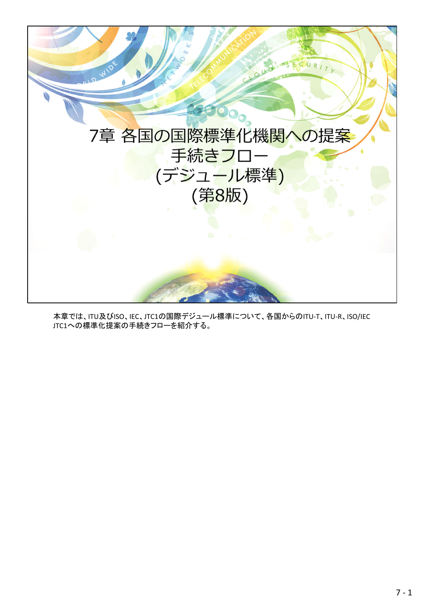

本章では、ITU及びISO、IEC、JTC1の国際デジュール標準について、各国からのITU-T、ITU-R、ISO/IEC JTC1への標準化提案の手続きフローを紹介する。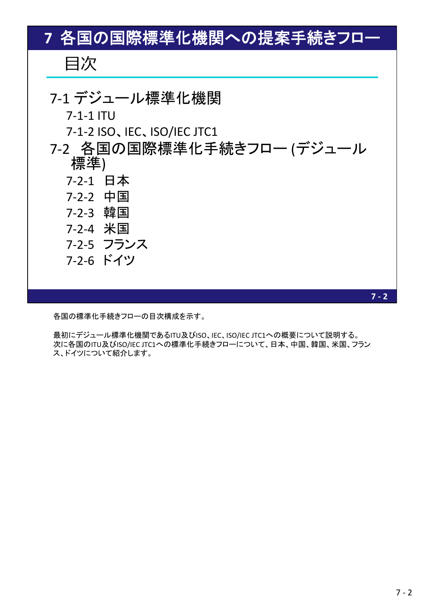## 目次 7‐1 デジュール標準化機関 7‐1‐1 ITU 7‐1‐2 ISO、IEC、ISO/IEC JTC1 7‐2 各国の国際標準化手続きフロー (デジュール 標準) 7‐2‐1 日本 7‐2‐2 中国 7‐2‐3 韓国 7‐2‐4 米国 7‐2‐5 フランス 7‐2‐6 ドイツ **7** 各国の国際標準化機関への提案手続きフロー

各国の標準化手続きフローの目次構成を示す。

最初にデジュール標準化機関であるITU及びISO、IEC、ISO/IEC JTC1への概要について説明する。 次に各国のITU及びISO/IEC JTC1への標準化手続きフローについて、日本、中国、韓国、米国、フラン ス、ドイツについて紹介します。

 $7 - 2$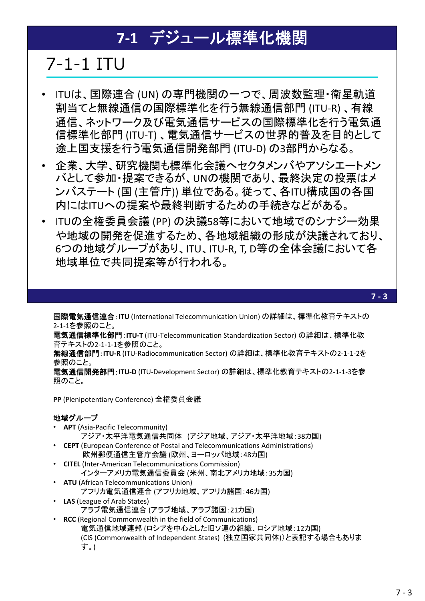## **7‐1** デジュール標準化機関

## 7-1-1 ITU

- ITUは、国際連合 (UN) の専門機関の一つで、周波数監理・衛星軌道 割当てと無線通信の国際標準化を行う無線通信部門 (ITU‐R) 、有線 通信、ネットワーク及び電気通信サービスの国際標準化を行う電気通 信標準化部門 (ITU‐T) 、電気通信サービスの世界的普及を目的として 途上国支援を行う電気通信開発部門 (ITU‐D) の3部門からなる。
- 企業、大学、研究機関も標準化会議へセクタメンバやアソシエートメン バとして参加・提案できるが、UNの機関であり、最終決定の投票はメ ンバステート (国 (主管庁)) 単位である。従って、各ITU構成国の各国 内にはITUへの提案や最終判断するための手続きなどがある。
- ITUの全権委員会議 (PP) の決議58等において地域でのシナジー効果 や地域の開発を促進するため、各地域組織の形成が決議されており、 6つの地域グループがあり、ITU、ITU‐R, T, D等の全体会議において各 地域単位で共同提案等が行われる。

国際電気通信連合:**ITU** (International Telecommunication Union) の詳細は、標準化教育テキストの 2‐1‐1を参照のこと。

電気通信標準化部門:**ITU‐T** (ITU‐Telecommunication Standardization Sector) の詳細は、標準化教 育テキストの2‐1‐1‐1を参照のこと。

無線通信部門:**ITU‐R** (ITU‐Radiocommunication Sector) の詳細は、標準化教育テキストの2‐1‐1‐2を 参照のこと。

電気通信開発部門:**ITU‐D** (ITU‐Development Sector) の詳細は、標準化教育テキストの2‐1‐1‐3を参 照のこと。

**PP** (Plenipotentiary Conference) 全権委員会議

## 地域グループ

- **APT** (Asia‐Pacific Telecommunity)
- アジア・太平洋電気通信共同体 (アジア地域、アジア・太平洋地域:38カ国) • **CEPT** (European Conference of Postal and Telecommunications Administrations)
	- 欧州郵便通信主管庁会議 (欧州、ヨーロッパ地域:48カ国)
- **CITEL** (Inter‐American Telecommunications Commission) インターアメリカ電気通信委員会 (米州、南北アメリカ地域:35カ国)
- **ATU** (African Telecommunications Union)
	- アフリカ電気通信連合 (アフリカ地域、アフリカ諸国:46カ国)
- **LAS** (League of Arab States)
	- アラブ電気通信連合 (アラブ地域、アラブ諸国:21カ国)
- **RCC** (Regional Commonwealth in the field of Communications) 電気通信地域連邦 (ロシアを中心とした旧ソ連の組織、ロシア地域:12カ国) (CIS (Commonwealth of Independent States) (独立国家共同体))と表記する場合もありま す。)

**7 ‐ 3**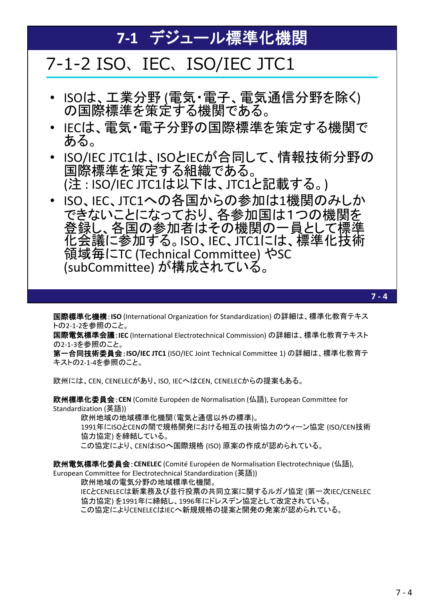## **7‐1** デジュール標準化機関

## 7-1-2 ISO、IEC、ISO/IEC JTC1

- ISOは、工業分野 (電気・電子、電気通信分野を除く) の国際標準を策定する機関である。
- IECは、電気・電子分野の国際標準を策定する機関で ある。
- ISO/IEC JTC1は、ISOとIECが合同して、情報技術分野の 国際標準を策定する組織である。 (注 : ISO/IEC JTC1は以下は、JTC1と記載する。)
- ISO、IEC、JTC1への各国からの参加は1機関のみしか できないことになっており、各参加国は1つの機関を 登録し、各国の参加者はその機関の一員として標準 化会議に参加する。ISO、IEC、JTC1には、標準化技術 領域毎にTC (Technical Committee) やSC (subCommittee) が構成されている。

国際標準化機構:**ISO** (International Organization for Standardization) の詳細は、標準化教育テキス トの2‐1‐2を参照のこと。

国際電気標準会議:**IEC** (International Electrotechnical Commission) の詳細は、標準化教育テキスト の2‐1‐3を参照のこと。

第一合同技術委員会:**ISO/IEC JTC1** (ISO/IEC Joint Technical Committee 1) の詳細は、標準化教育テ キストの2‐1‐4を参照のこと。

欧州には、CEN, CENELECがあり、ISO, IECへはCEN, CENELECからの提案もある。

欧州標準化委員会:**CEN** (Comité Européen de Normalisation (仏語), European Committee for Standardization (英語))

欧州地域の地域標準化機関(電気と通信以外の標準)。

1991年にISOとCENの間で規格開発における相互の技術協力のウィーン協定 (ISO/CEN技術 協力協定) を締結している。

この協定により、CENはISOへ国際規格 (ISO) 原案の作成が認められている。

欧州電気標準化委員会:**CENELEC** (Comité Européen de Normalisation Electrotechnique (仏語), European Committee for Electrotechnical Standardization (英語))

欧州地域の電気分野の地域標準化機関。

IECとCENELECは新業務及び並行投票の共同立案に関するルガノ協定 (第一次IEC/CENELEC 協力協定) を1991年に締結し、1996年にドレスデン協定として改定されている。 この協定によりCENELECはIECへ新規規格の提案と開発の発案が認められている。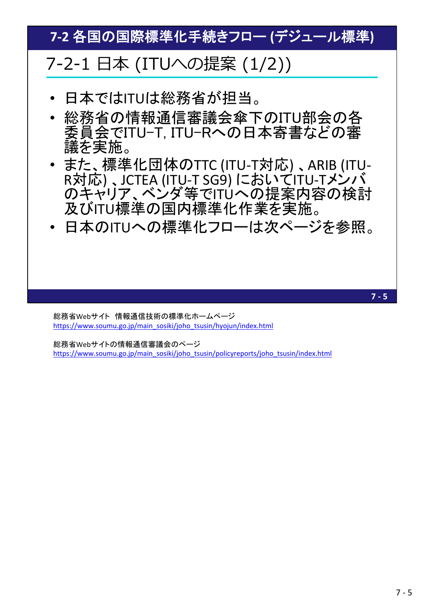**7‐2** 各国の国際標準化手続きフロー **(**デジュール標準**)**

## 7-2-1 ⽇本 (ITUへの提案 (1/2))

- 日本ではITUは総務省が担当。
- 総務省の情報通信審議会傘下のITU部会の各 委員会でITU-T, ITU-Rへの日本寄書などの審 議を実施。
- また、標準化団体のTTC (ITU-T対応)、ARIB (ITU-<br>R対応)、JCTEA (ITU-T SG9) においてITU-Tメンバ のキャリア、ベンダ等でITUへの提案内容の検討 及びITU標準の国内標準化作業を実施。
- 日本のITUへの標準化フローは次ページを参照。

総務省Webサイト 情報通信技術の標準化ホームページ https://www.soumu.go.jp/main\_sosiki/joho\_tsusin/hyojun/index.html

総務省Webサイトの情報通信審議会のページ https://www.soumu.go.jp/main\_sosiki/joho\_tsusin/policyreports/joho\_tsusin/index.html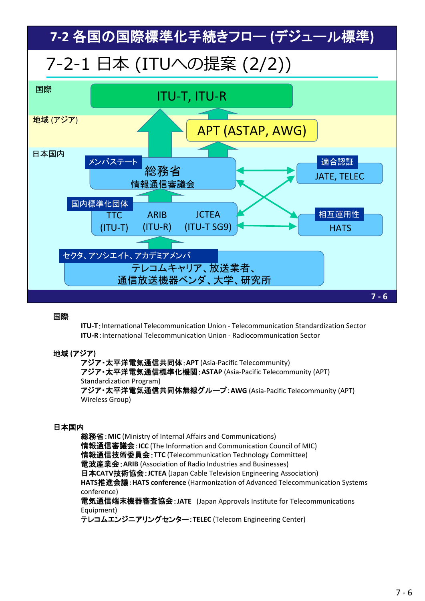**7‐2** 各国の国際標準化手続きフロー **(**デジュール標準**)**

# 7-2-1 ⽇本 (ITUへの提案 (2/2))



## 国際

**ITU‐T**:International Telecommunication Union ‐ Telecommunication Standardization Sector **ITU‐R**:International Telecommunication Union ‐ Radiocommunication Sector

## 地域 **(**アジア**)**

アジア・太平洋電気通信共同体:**APT** (Asia‐Pacific Telecommunity) アジア・太平洋電気通信標準化機関:**ASTAP** (Asia‐Pacific Telecommunity (APT) Standardization Program) アジア・太平洋電気通信共同体無線グループ:**AWG** (Asia‐Pacific Telecommunity (APT)

Wireless Group)

## 日本国内

総務省:**MIC** (Ministry of Internal Affairs and Communications) 情報通信審議会:**ICC** (The Information and Communication Council of MIC) 情報通信技術委員会:**TTC** (Telecommunication Technology Committee) 電波産業会:**ARIB** (Association of Radio Industries and Businesses) 日本**CATV**技術協会:**JCTEA** (Japan Cable Television Engineering Association) **HATS**推進会議:**HATS conference** (Harmonization of Advanced Telecommunication Systems conference)

電気通信端末機器審査協会:**JATE** (Japan Approvals Institute for Telecommunications Equipment)

テレコムエンジニアリングセンター:**TELEC** (Telecom Engineering Center)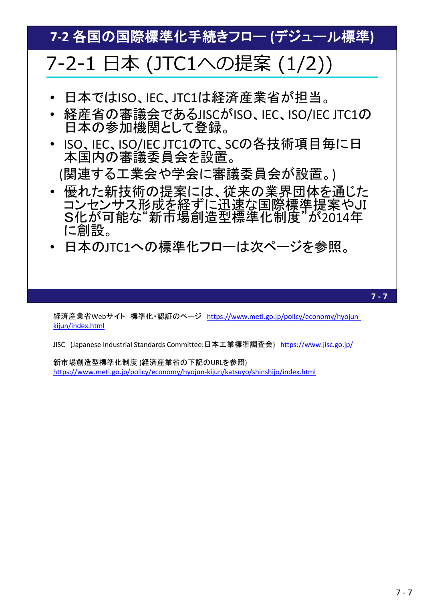**7‐2** 各国の国際標準化手続きフロー **(**デジュール標準**)**

# 7-2-1 ⽇本 (JTC1への提案 (1/2))

- 日本ではISO、IEC、JTC1は経済産業省が担当。
- 経産省の審議会であるJISCがISO、IEC、ISO/IEC JTC1の 日本の参加機関として登録。
- ISO、IEC、ISO/IEC JTC1のTC、SCの各技術項目毎に日 本国内の審議委員会を設置。 (関連する工業会や学会に審議委員会が設置。)
- 優れた新技術の提案には、従来の業界団体を通じた コンセンサス形成を経ずに迅速な国際標準提案やJI S化が可能な"新市場創造型標準化制度"が2014年 に創設。
- 日本のJTC1への標準化フローは次ページを参照。

**7 ‐ 7**

経済産業省Webサイト 標準化・認証のページ https://www.meti.go.jp/policy/economy/hyojun‐ kijun/index.html

JISC (Japanese Industrial Standards Committee:日本工業標準調査会) https://www.jisc.go.jp/

新市場創造型標準化制度 (経済産業省の下記のURLを参照) https://www.meti.go.jp/policy/economy/hyojun‐kijun/katsuyo/shinshijo/index.html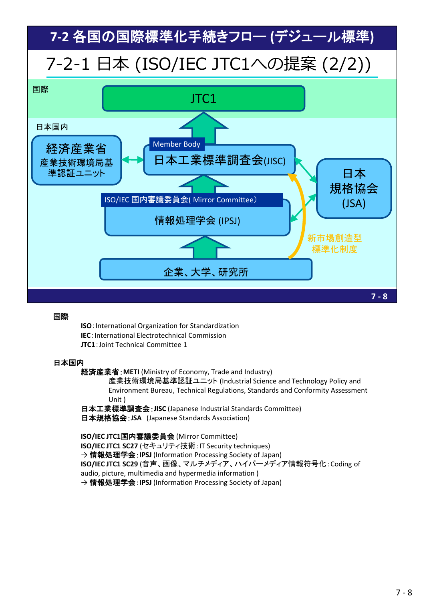

**ISO**:International Organization for Standardization **IEC**: International Electrotechnical Commission **JTC1**:Joint Technical Committee 1

## 日本国内

経済産業省:**METI** (Ministry of Economy, Trade and Industry)

産業技術環境局基準認証ユニット (Industrial Science and Technology Policy and Environment Bureau, Technical Regulations, Standards and Conformity Assessment Unit )

日本工業標準調査会:**JISC** (Japanese Industrial Standards Committee) 日本規格協会:**JSA** (Japanese Standards Association)

**ISO/IEC JTC1**国内審議委員会 (Mirror Committee) **ISO/IEC JTC1 SC27** (セキュリティ技術:IT Security techniques) → 情報処理学会:**IPSJ** (Information Processing Society of Japan) **ISO/IEC JTC1 SC29** (音声、画像、マルチメディア、ハイパーメディア情報符号化:Coding of audio, picture, multimedia and hypermedia information ) → 情報処理学会:**IPSJ** (Information Processing Society of Japan)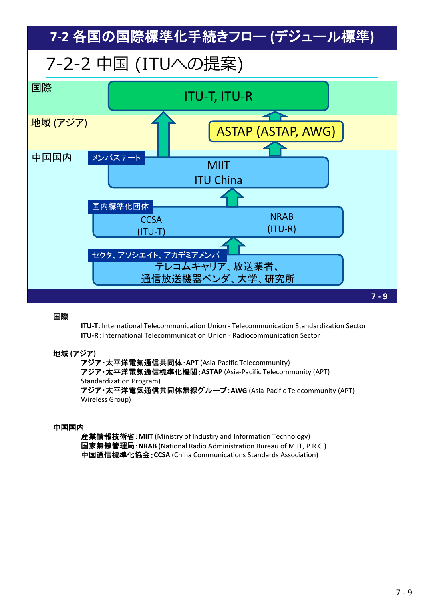

**ITU‐T**:International Telecommunication Union ‐ Telecommunication Standardization Sector **ITU‐R**:International Telecommunication Union ‐ Radiocommunication Sector

## 地域 **(**アジア**)**

アジア・太平洋電気通信共同体:**APT** (Asia‐Pacific Telecommunity) アジア・太平洋電気通信標準化機関:**ASTAP** (Asia‐Pacific Telecommunity (APT) Standardization Program) アジア・太平洋電気通信共同体無線グループ:**AWG** (Asia‐Pacific Telecommunity (APT) Wireless Group)

#### 中国国内

産業情報技術省:**MIIT** (Ministry of Industry and Information Technology) 国家無線管理局:**NRAB** (National Radio Administration Bureau of MIIT, P.R.C.) 中国通信標準化協会:**CCSA** (China Communications Standards Association)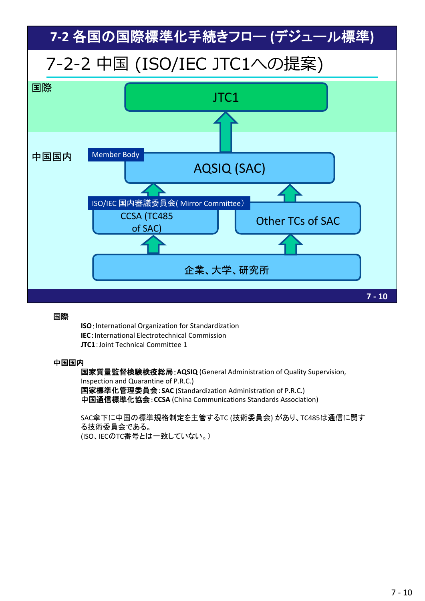

**ISO**:International Organization for Standardization **IEC**: International Electrotechnical Commission **JTC1**:Joint Technical Committee 1

#### 中国国内

国家質量監督検験検疫総局:**AQSIQ** (General Administration of Quality Supervision, Inspection and Quarantine of P.R.C.) 国家標準化管理委員会:**SAC** (Standardization Administration of P.R.C.) 中国通信標準化協会:**CCSA** (China Communications Standards Association)

SAC傘下に中国の標準規格制定を主管するTC (技術委員会) があり、TC485は通信に関す る技術委員会である。 (ISO、IECのTC番号とは一致していない。)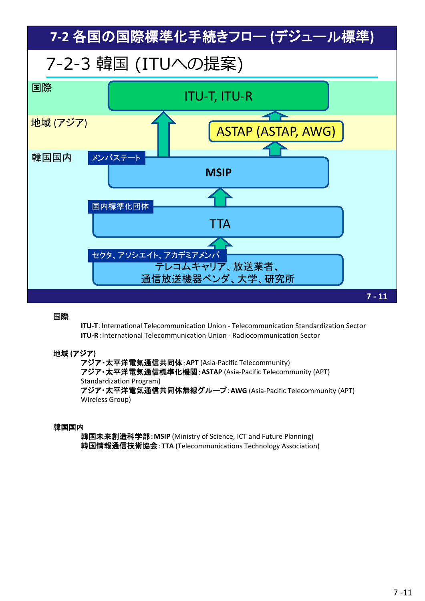

**ITU‐T**:International Telecommunication Union ‐ Telecommunication Standardization Sector **ITU‐R**:International Telecommunication Union ‐ Radiocommunication Sector

#### 地域 **(**アジア**)**

アジア・太平洋電気通信共同体:**APT** (Asia‐Pacific Telecommunity) アジア・太平洋電気通信標準化機関:**ASTAP** (Asia‐Pacific Telecommunity (APT) Standardization Program) アジア・太平洋電気通信共同体無線グループ:**AWG** (Asia‐Pacific Telecommunity (APT) Wireless Group)

#### 韓国国内

韓国未来創造科学部:**MSIP** (Ministry of Science, ICT and Future Planning) 韓国情報通信技術協会:**TTA** (Telecommunications Technology Association)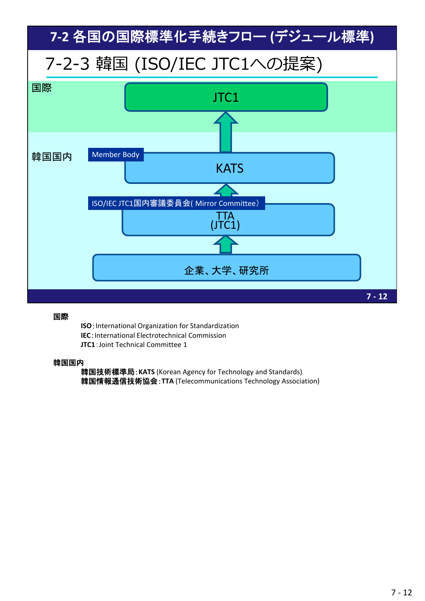

**ISO**:International Organization for Standardization **IEC**: International Electrotechnical Commission **JTC1**:Joint Technical Committee 1

#### 韓国国内

韓国技術標準局:**KATS** (Korean Agency for Technology and Standards) 韓国情報通信技術協会:**TTA** (Telecommunications Technology Association)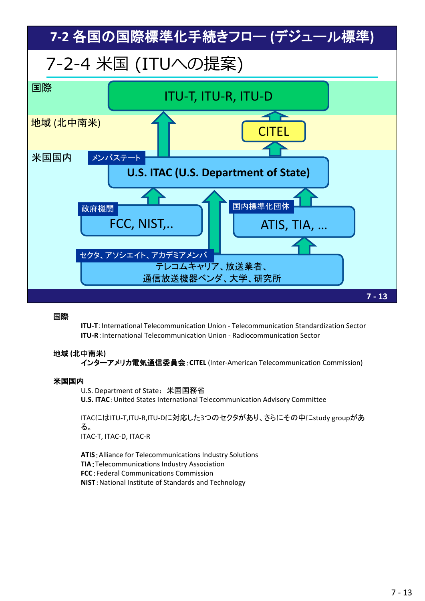

**ITU‐T**:International Telecommunication Union ‐ Telecommunication Standardization Sector **ITU‐R**:International Telecommunication Union ‐ Radiocommunication Sector

## 地域 **(**北中南米**)**

インターアメリカ電気通信委員会:**CITEL** (Inter‐American Telecommunication Commission)

#### 米国国内

U.S. Department of State:米国国務省

**U.S. ITAC**:United States International Telecommunication Advisory Committee

ITACにはITU‐T,ITU‐R,ITU‐Dに対応した3つのセクタがあり、さらにその中にstudy groupがあ る。 ITAC‐T, ITAC‐D, ITAC‐R

**ATIS**:Alliance for Telecommunications Industry Solutions **TIA**:Telecommunications Industry Association **FCC**:Federal Communications Commission **NIST**:National Institute of Standards and Technology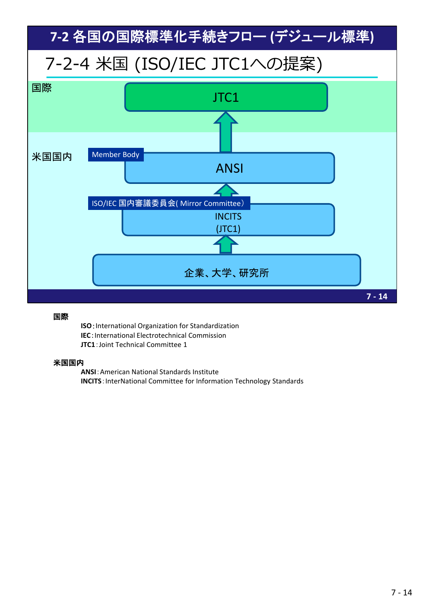

**ISO**:International Organization for Standardization **IEC**: International Electrotechnical Commission **JTC1**:Joint Technical Committee 1

#### 米国国内

**ANSI**:American National Standards Institute **INCITS**: InterNational Committee for Information Technology Standards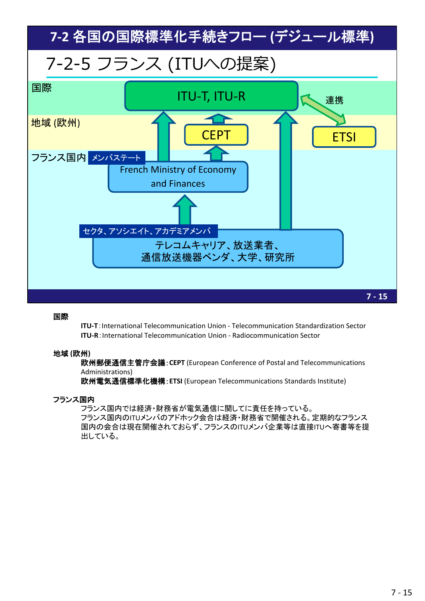

**ITU‐T**:International Telecommunication Union ‐ Telecommunication Standardization Sector **ITU‐R**:International Telecommunication Union ‐ Radiocommunication Sector

## 地域 **(**欧州**)**

欧州郵便通信主管庁会議:**CEPT** (European Conference of Postal and Telecommunications Administrations)

欧州電気通信標準化機構:**ETSI** (European Telecommunications Standards Institute)

## フランス国内

フランス国内では経済・財務省が電気通信に関してに責任を持っている。 フランス国内のITUメンバのアドホック会合は経済・財務省で開催される。定期的なフランス 国内の会合は現在開催されておらず、フランスのITUメンバ企業等は直接ITUへ寄書等を提 出している。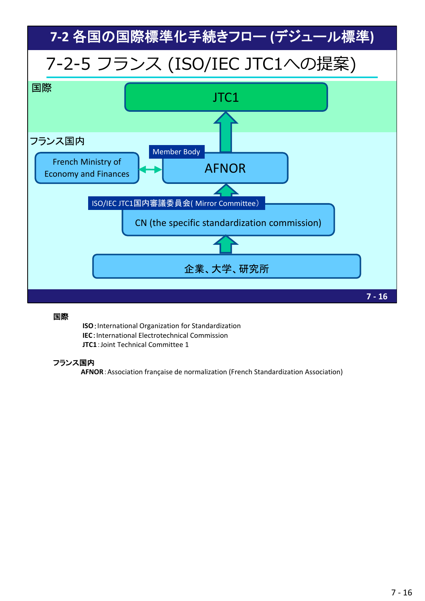

**ISO**:International Organization for Standardization **IEC**: International Electrotechnical Commission **JTC1**:Joint Technical Committee 1

## フランス国内

**AFNOR**:Association française de normalization (French Standardization Association)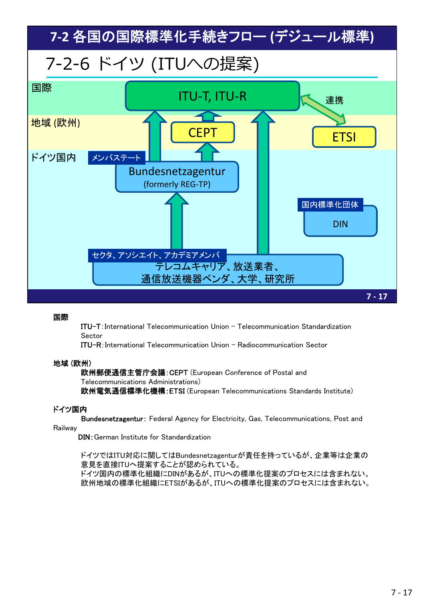

ITU-T:International Telecommunication Union - Telecommunication Standardization Sector

ITU-R:International Telecommunication Union - Radiocommunication Sector

#### 地域 (欧州)

欧州郵便通信主管庁会議:CEPT (European Conference of Postal and Telecommunications Administrations) 欧州電気通信標準化機構:ETSI (European Telecommunications Standards Institute)

## ドイツ国内

Bundesnetzagentur: Federal Agency for Electricity, Gas, Telecommunications, Post and

Railway

DIN:German Institute for Standardization

ドイツではITU対応に関してはBundesnetzagenturが責任を持っているが、企業等は企業の 意見を直接ITUへ提案することが認められている。

ドイツ国内の標準化組織にDINがあるが、ITUへの標準化提案のプロセスには含まれない。 欧州地域の標準化組織にETSIがあるが、ITUへの標準化提案のプロセスには含まれない。